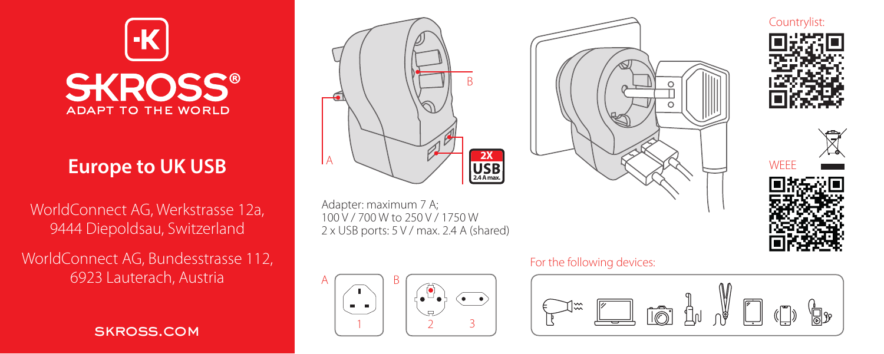

# **Europe to UK USB**

WorldConnect AG, Werkstrasse 12a, 9444 Diepoldsau, Switzerland

WorldConnect AG, Bundesstrasse 112, 6923 Lauterach, Austria

SKROSS.COM



Adapter: maximum 7 A; 100 V / 700 W to 250 V / 1750 W 2 x USB ports: 5 V / max. 2.4 A (shared)



### For the following devices:









WEE